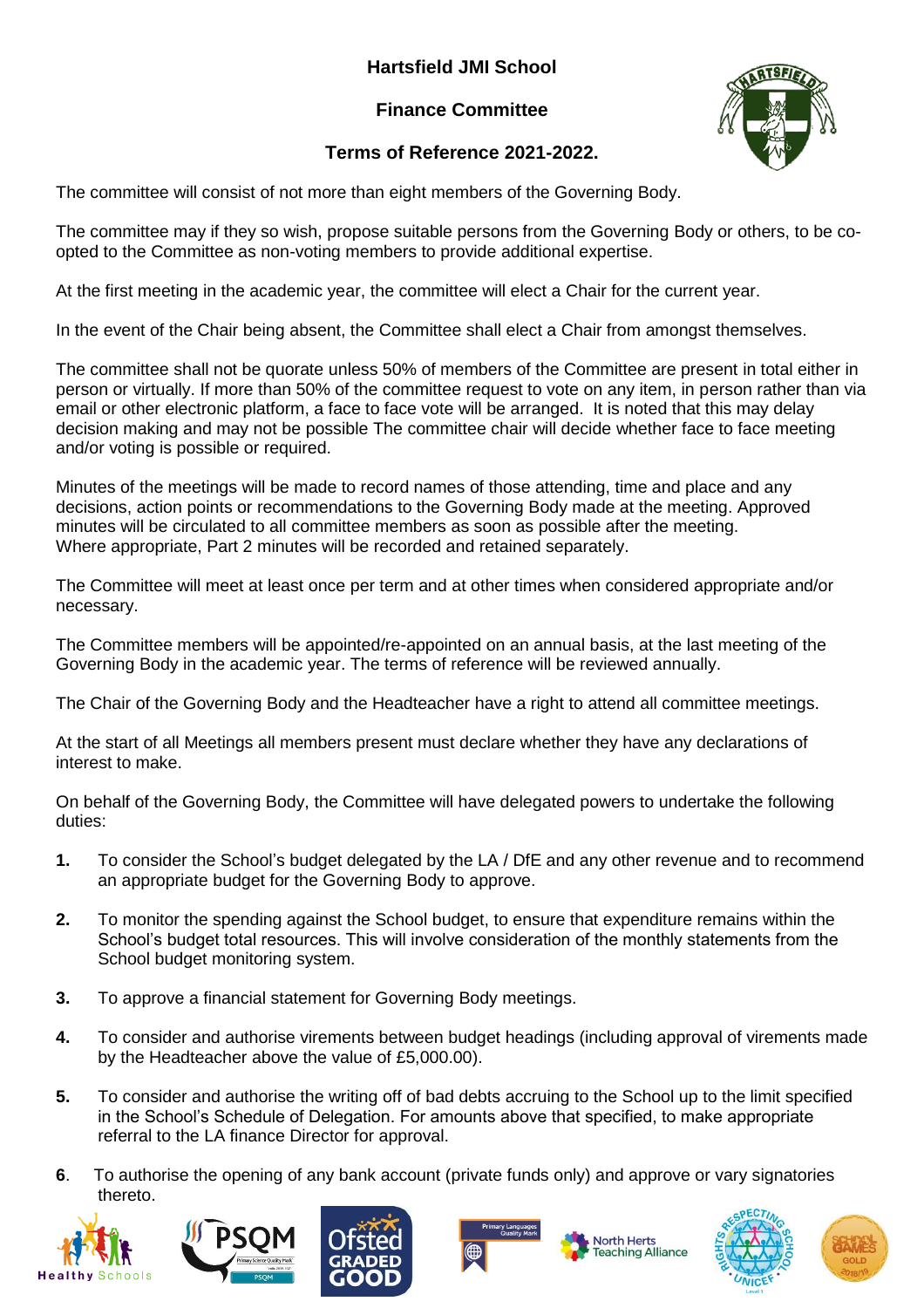## **Hartsfield JMI School**

## **Finance Committee**



## **Terms of Reference 2021-2022.**

The committee will consist of not more than eight members of the Governing Body.

The committee may if they so wish, propose suitable persons from the Governing Body or others, to be coopted to the Committee as non-voting members to provide additional expertise.

At the first meeting in the academic year, the committee will elect a Chair for the current year.

In the event of the Chair being absent, the Committee shall elect a Chair from amongst themselves.

The committee shall not be quorate unless 50% of members of the Committee are present in total either in person or virtually. If more than 50% of the committee request to vote on any item, in person rather than via email or other electronic platform, a face to face vote will be arranged. It is noted that this may delay decision making and may not be possible The committee chair will decide whether face to face meeting and/or voting is possible or required.

Minutes of the meetings will be made to record names of those attending, time and place and any decisions, action points or recommendations to the Governing Body made at the meeting. Approved minutes will be circulated to all committee members as soon as possible after the meeting. Where appropriate, Part 2 minutes will be recorded and retained separately.

The Committee will meet at least once per term and at other times when considered appropriate and/or necessary.

The Committee members will be appointed/re-appointed on an annual basis, at the last meeting of the Governing Body in the academic year. The terms of reference will be reviewed annually.

The Chair of the Governing Body and the Headteacher have a right to attend all committee meetings.

At the start of all Meetings all members present must declare whether they have any declarations of interest to make.

On behalf of the Governing Body, the Committee will have delegated powers to undertake the following duties:

- **1.** To consider the School's budget delegated by the LA / DfE and any other revenue and to recommend an appropriate budget for the Governing Body to approve.
- **2.** To monitor the spending against the School budget, to ensure that expenditure remains within the School's budget total resources. This will involve consideration of the monthly statements from the School budget monitoring system.
- **3.** To approve a financial statement for Governing Body meetings.
- **4.** To consider and authorise virements between budget headings (including approval of virements made by the Headteacher above the value of £5,000.00).
- **5.** To consider and authorise the writing off of bad debts accruing to the School up to the limit specified in the School's Schedule of Delegation. For amounts above that specified, to make appropriate referral to the LA finance Director for approval.
- **6**. To authorise the opening of any bank account (private funds only) and approve or vary signatories thereto.